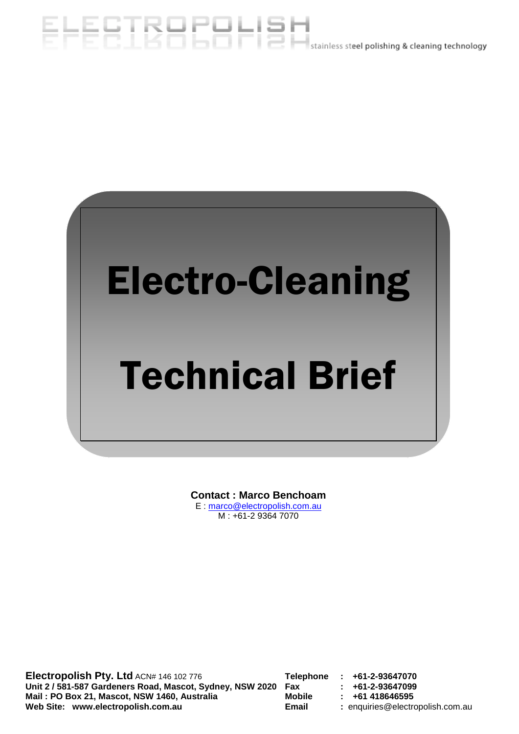# EHEBIBBERH BH,



**Contact : Marco Benchoam** E : marco@electropolish.com.au M : +61-2 9364 7070

**Electropolish Pty. Ltd** ACN# 146 102 776 **Telephone : +61-2-93647070 Unit 2 / 581-587 Gardeners Road, Mascot, Sydney, NSW 2020 Fax : +61-2-93647099 Mail : PO Box 21, Mascot, NSW 1460, Australia Web Site: www.electropolish.com.au Email :** enquiries@electropolish.com.au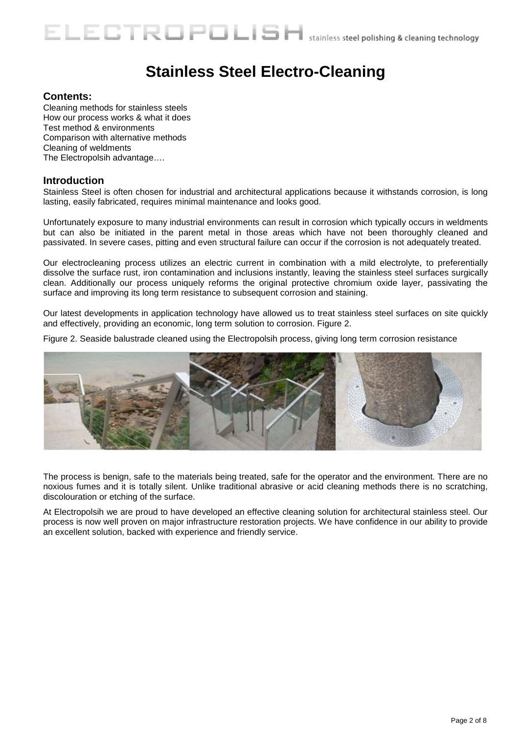## **Stainless Steel Electro-Cleaning**

#### **Contents:**

Cleaning methods for stainless steels How our process works & what it does Test method & environments Comparison with alternative methods Cleaning of weldments The Electropolsih advantage….

#### **Introduction**

Stainless Steel is often chosen for industrial and architectural applications because it withstands corrosion, is long lasting, easily fabricated, requires minimal maintenance and looks good.

Unfortunately exposure to many industrial environments can result in corrosion which typically occurs in weldments but can also be initiated in the parent metal in those areas which have not been thoroughly cleaned and passivated. In severe cases, pitting and even structural failure can occur if the corrosion is not adequately treated.

Our electrocleaning process utilizes an electric current in combination with a mild electrolyte, to preferentially dissolve the surface rust, iron contamination and inclusions instantly, leaving the stainless steel surfaces surgically clean. Additionally our process uniquely reforms the original protective chromium oxide layer, passivating the surface and improving its long term resistance to subsequent corrosion and staining.

Our latest developments in application technology have allowed us to treat stainless steel surfaces on site quickly and effectively, providing an economic, long term solution to corrosion. Figure 2.

Figure 2. Seaside balustrade cleaned using the Electropolsih process, giving long term corrosion resistance



The process is benign, safe to the materials being treated, safe for the operator and the environment. There are no noxious fumes and it is totally silent. Unlike traditional abrasive or acid cleaning methods there is no scratching, discolouration or etching of the surface.

At Electropolsih we are proud to have developed an effective cleaning solution for architectural stainless steel. Our process is now well proven on major infrastructure restoration projects. We have confidence in our ability to provide an excellent solution, backed with experience and friendly service.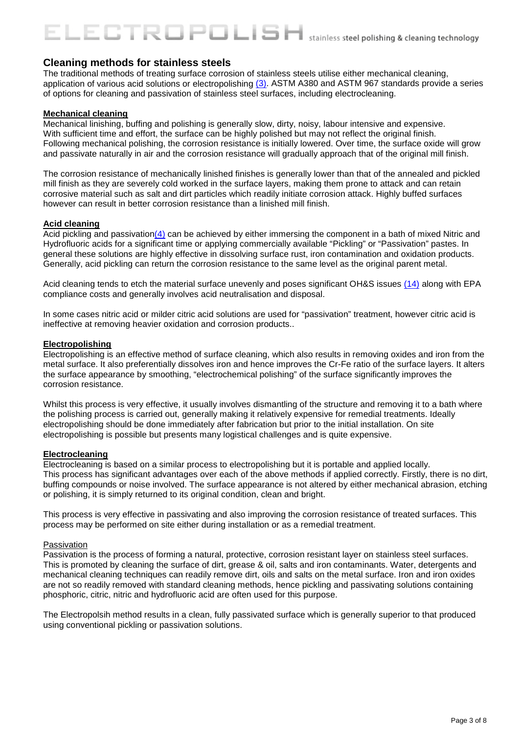#### **Cleaning methods for stainless steels**

The traditional methods of treating surface corrosion of stainless steels utilise either mechanical cleaning, application of various acid solutions or electropolishing  $(3)$ . ASTM A380 and ASTM 967 standards provide a series of options for cleaning and passivation of stainless steel surfaces, including electrocleaning.

#### **Mechanical cleaning**

Mechanical linishing, buffing and polishing is generally slow, dirty, noisy, labour intensive and expensive. With sufficient time and effort, the surface can be highly polished but may not reflect the original finish. Following mechanical polishing, the corrosion resistance is initially lowered. Over time, the surface oxide will grow and passivate naturally in air and the corrosion resistance will gradually approach that of the original mill finish.

The corrosion resistance of mechanically linished finishes is generally lower than that of the annealed and pickled mill finish as they are severely cold worked in the surface layers, making them prone to attack and can retain corrosive material such as salt and dirt particles which readily initiate corrosion attack. Highly buffed surfaces however can result in better corrosion resistance than a linished mill finish.

#### **Acid cleaning**

Acid pickling and passivatio[n\(4\)](http://www.assda.asn.au/asp/index.asp?pgid=17977) can be achieved by either immersing the component in a bath of mixed Nitric and Hydrofluoric acids for a significant time or applying commercially available "Pickling" or "Passivation" pastes. In general these solutions are highly effective in dissolving surface rust, iron contamination and oxidation products. Generally, acid pickling can return the corrosion resistance to the same level as the original parent metal.

Acid cleaning tends to etch the material surface unevenly and poses significant OH&S issues [\(14\)](http://www.assda.asn.au/asp/index.asp?pgid=18503) along with EPA compliance costs and generally involves acid neutralisation and disposal.

In some cases nitric acid or milder citric acid solutions are used for "passivation" treatment, however citric acid is ineffective at removing heavier oxidation and corrosion products..

#### **Electropolishing**

Electropolishing is an effective method of surface cleaning, which also results in removing oxides and iron from the metal surface. It also preferentially dissolves iron and hence improves the Cr-Fe ratio of the surface layers. It alters the surface appearance by smoothing, "electrochemical polishing" of the surface significantly improves the corrosion resistance.

Whilst this process is very effective, it usually involves dismantling of the structure and removing it to a bath where the polishing process is carried out, generally making it relatively expensive for remedial treatments. Ideally electropolishing should be done immediately after fabrication but prior to the initial installation. On site electropolishing is possible but presents many logistical challenges and is quite expensive.

#### **Electrocleaning**

Electrocleaning is based on a similar process to electropolishing but it is portable and applied locally. This process has significant advantages over each of the above methods if applied correctly. Firstly, there is no dirt, buffing compounds or noise involved. The surface appearance is not altered by either mechanical abrasion, etching or polishing, it is simply returned to its original condition, clean and bright.

This process is very effective in passivating and also improving the corrosion resistance of treated surfaces. This process may be performed on site either during installation or as a remedial treatment.

#### Passivation

Passivation is the process of forming a natural, protective, corrosion resistant layer on stainless steel surfaces. This is promoted by cleaning the surface of dirt, grease & oil, salts and iron contaminants. Water, detergents and mechanical cleaning techniques can readily remove dirt, oils and salts on the metal surface. Iron and iron oxides are not so readily removed with standard cleaning methods, hence pickling and passivating solutions containing phosphoric, citric, nitric and hydrofluoric acid are often used for this purpose.

The Electropolsih method results in a clean, fully passivated surface which is generally superior to that produced using conventional pickling or passivation solutions.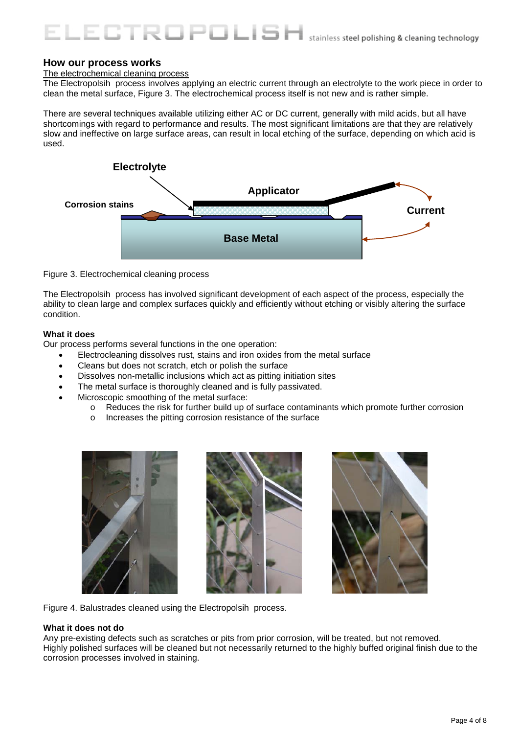#### **How our process works**

#### The electrochemical cleaning process

The Electropolsih process involves applying an electric current through an electrolyte to the work piece in order to clean the metal surface, Figure 3. The electrochemical process itself is not new and is rather simple.

There are several techniques available utilizing either AC or DC current, generally with mild acids, but all have shortcomings with regard to performance and results. The most significant limitations are that they are relatively slow and ineffective on large surface areas, can result in local etching of the surface, depending on which acid is used.



Figure 3. Electrochemical cleaning process

The Electropolsih process has involved significant development of each aspect of the process, especially the ability to clean large and complex surfaces quickly and efficiently without etching or visibly altering the surface condition.

#### **What it does**

Our process performs several functions in the one operation:

- Electrocleaning dissolves rust, stains and iron oxides from the metal surface
- Cleans but does not scratch, etch or polish the surface
- Dissolves non-metallic inclusions which act as pitting initiation sites

STROPOLISK

- The metal surface is thoroughly cleaned and is fully passivated.
- Microscopic smoothing of the metal surface:
	- o Reduces the risk for further build up of surface contaminants which promote further corrosion<br>O lncreases the pitting corrosion resistance of the surface
	- Increases the pitting corrosion resistance of the surface







Figure 4. Balustrades cleaned using the Electropolsih process.

#### **What it does not do**

Any pre-existing defects such as scratches or pits from prior corrosion, will be treated, but not removed. Highly polished surfaces will be cleaned but not necessarily returned to the highly buffed original finish due to the corrosion processes involved in staining.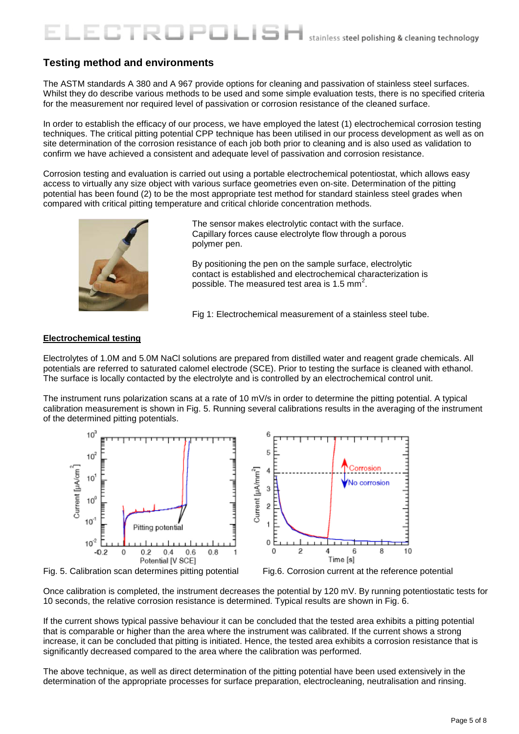#### **Testing method and environments**

The ASTM standards A 380 and A 967 provide options for cleaning and passivation of stainless steel surfaces. Whilst they do describe various methods to be used and some simple evaluation tests, there is no specified criteria for the measurement nor required level of passivation or corrosion resistance of the cleaned surface.

니트

In order to establish the efficacy of our process, we have employed the latest (1) electrochemical corrosion testing techniques. The critical pitting potential CPP technique has been utilised in our process development as well as on site determination of the corrosion resistance of each job both prior to cleaning and is also used as validation to confirm we have achieved a consistent and adequate level of passivation and corrosion resistance.

Corrosion testing and evaluation is carried out using a portable electrochemical potentiostat, which allows easy access to virtually any size object with various surface geometries even on-site. Determination of the pitting potential has been found (2) to be the most appropriate test method for standard stainless steel grades when compared with critical pitting temperature and critical chloride concentration methods.



The sensor makes electrolytic contact with the surface. Capillary forces cause electrolyte flow through a porous polymer pen.

By positioning the pen on the sample surface, electrolytic contact is established and electrochemical characterization is possible. The measured test area is 1.5 mm<sup>2</sup>.

Fig 1: Electrochemical measurement of a stainless steel tube.

#### **Electrochemical testing**

Electrolytes of 1.0M and 5.0M NaCl solutions are prepared from distilled water and reagent grade chemicals. All potentials are referred to saturated calomel electrode (SCE). Prior to testing the surface is cleaned with ethanol. The surface is locally contacted by the electrolyte and is controlled by an electrochemical control unit.

The instrument runs polarization scans at a rate of 10 mV/s in order to determine the pitting potential. A typical calibration measurement is shown in Fig. 5. Running several calibrations results in the averaging of the instrument of the determined pitting potentials.



Fig. 5. Calibration scan determines pitting potential Fig.6. Corrosion current at the reference potential

Once calibration is completed, the instrument decreases the potential by 120 mV. By running potentiostatic tests for 10 seconds, the relative corrosion resistance is determined. Typical results are shown in Fig. 6.

If the current shows typical passive behaviour it can be concluded that the tested area exhibits a pitting potential that is comparable or higher than the area where the instrument was calibrated. If the current shows a strong increase, it can be concluded that pitting is initiated. Hence, the tested area exhibits a corrosion resistance that is significantly decreased compared to the area where the calibration was performed.

The above technique, as well as direct determination of the pitting potential have been used extensively in the determination of the appropriate processes for surface preparation, electrocleaning, neutralisation and rinsing.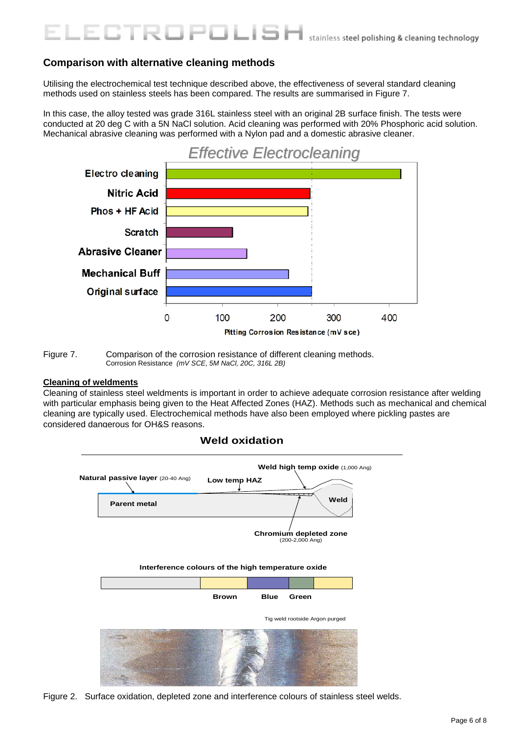#### **Comparison with alternative cleaning methods**

Utilising the electrochemical test technique described above, the effectiveness of several standard cleaning methods used on stainless steels has been compared. The results are summarised in Figure 7.

ا طالبا ك

In this case, the alloy tested was grade 316L stainless steel with an original 2B surface finish. The tests were conducted at 20 deg C with a 5N NaCl solution. Acid cleaning was performed with 20% Phosphoric acid solution. Mechanical abrasive cleaning was performed with a Nylon pad and a domestic abrasive cleaner.



Figure 7. Comparison of the corrosion resistance of different cleaning methods. Corrosion Resistance *(mV SCE, 5M NaCl, 20C, 316L 2B)*

#### **Cleaning of weldments**

Cleaning of stainless steel weldments is important in order to achieve adequate corrosion resistance after welding with particular emphasis being given to the Heat Affected Zones (HAZ). Methods such as mechanical and chemical cleaning are typically used. Electrochemical methods have also been employed where pickling pastes are considered dangerous for OH&S reasons.



Figure 2. Surface oxidation, depleted zone and interference colours of stainless steel welds.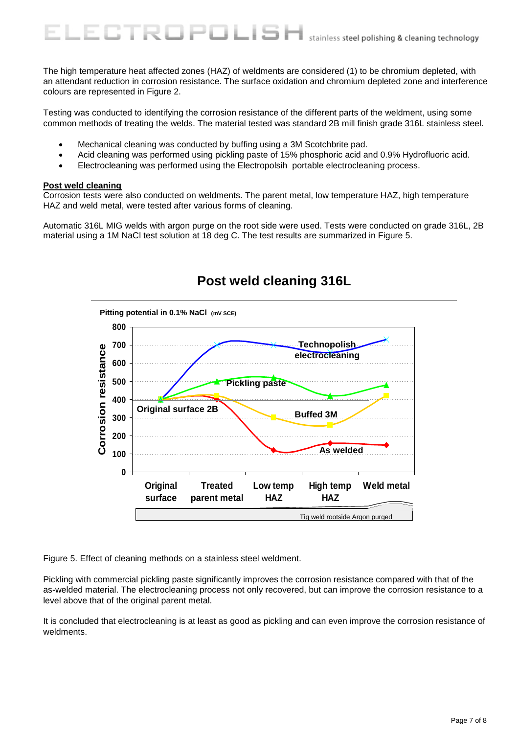The high temperature heat affected zones (HAZ) of weldments are considered (1) to be chromium depleted, with an attendant reduction in corrosion resistance. The surface oxidation and chromium depleted zone and interference colours are represented in Figure 2.

Testing was conducted to identifying the corrosion resistance of the different parts of the weldment, using some common methods of treating the welds. The material tested was standard 2B mill finish grade 316L stainless steel.

• Mechanical cleaning was conducted by buffing using a 3M Scotchbrite pad.

3TRO

- Acid cleaning was performed using pickling paste of 15% phosphoric acid and 0.9% Hydrofluoric acid.
- Electrocleaning was performed using the Electropolsih portable electrocleaning process.

POLISI

#### **Post weld cleaning**

Corrosion tests were also conducted on weldments. The parent metal, low temperature HAZ, high temperature HAZ and weld metal, were tested after various forms of cleaning.

Automatic 316L MIG welds with argon purge on the root side were used. Tests were conducted on grade 316L, 2B material using a 1M NaCl test solution at 18 deg C. The test results are summarized in Figure 5.



### **Post weld cleaning 316L**

Figure 5. Effect of cleaning methods on a stainless steel weldment.

Pickling with commercial pickling paste significantly improves the corrosion resistance compared with that of the as-welded material. The electrocleaning process not only recovered, but can improve the corrosion resistance to a level above that of the original parent metal.

It is concluded that electrocleaning is at least as good as pickling and can even improve the corrosion resistance of weldments.